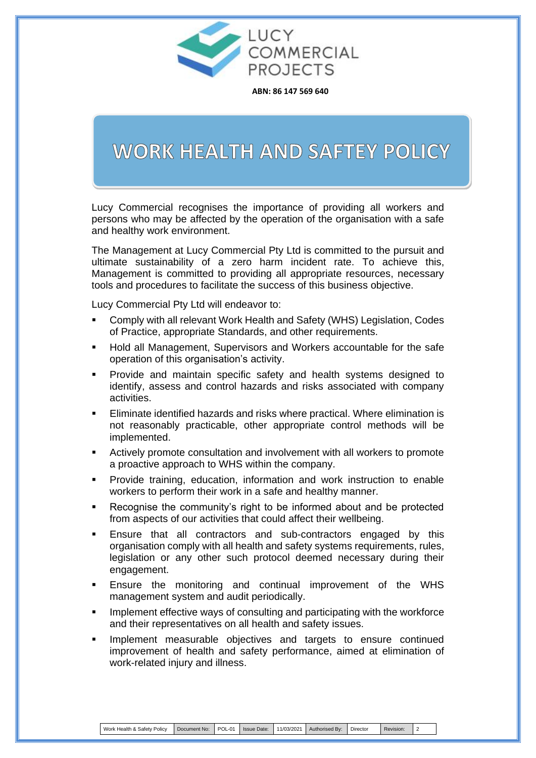

**ABN: 86 147 569 640**

## WORK HEALTH AND SAFTEY POLICY

| Work Health & Safety Policy | Document No: |  |  |  | $\lambda$ :   POL-01   Issue Date:   11/03/2021   Authorised By: / | Director | Revision: |  |
|-----------------------------|--------------|--|--|--|--------------------------------------------------------------------|----------|-----------|--|
|-----------------------------|--------------|--|--|--|--------------------------------------------------------------------|----------|-----------|--|

Lucy Commercial recognises the importance of providing all workers and persons who may be affected by the operation of the organisation with a safe and healthy work environment.

The Management at Lucy Commercial Pty Ltd is committed to the pursuit and ultimate sustainability of a zero harm incident rate. To achieve this, Management is committed to providing all appropriate resources, necessary tools and procedures to facilitate the success of this business objective.

Lucy Commercial Pty Ltd will endeavor to:

- Comply with all relevant Work Health and Safety (WHS) Legislation, Codes of Practice, appropriate Standards, and other requirements.
- Hold all Management, Supervisors and Workers accountable for the safe operation of this organisation's activity.
- Provide and maintain specific safety and health systems designed to identify, assess and control hazards and risks associated with company activities.
- Eliminate identified hazards and risks where practical. Where elimination is not reasonably practicable, other appropriate control methods will be implemented.
- Actively promote consultation and involvement with all workers to promote a proactive approach to WHS within the company.
- Provide training, education, information and work instruction to enable workers to perform their work in a safe and healthy manner.
- Recognise the community's right to be informed about and be protected from aspects of our activities that could affect their wellbeing.
- Ensure that all contractors and sub-contractors engaged by this organisation comply with all health and safety systems requirements, rules, legislation or any other such protocol deemed necessary during their engagement.
	-
- Ensure the monitoring and continual improvement of the WHS management system and audit periodically.
- Implement effective ways of consulting and participating with the workforce and their representatives on all health and safety issues.
- Implement measurable objectives and targets to ensure continued improvement of health and safety performance, aimed at elimination of work-related injury and illness.